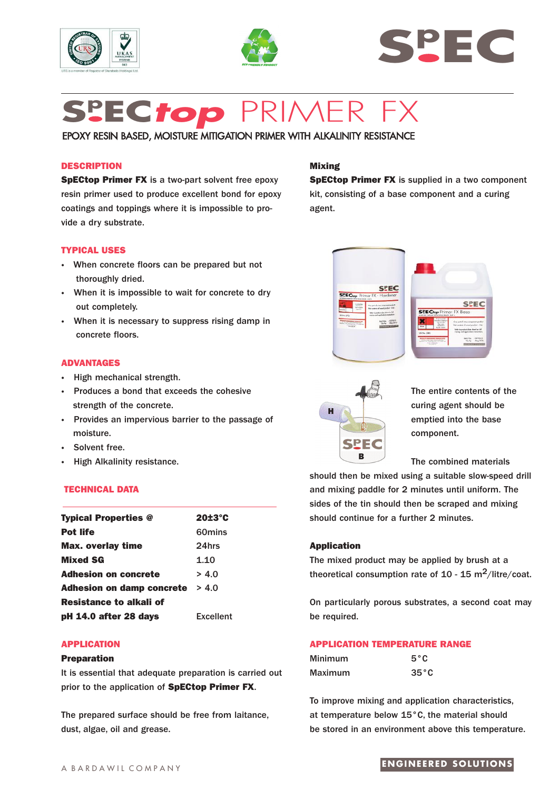





# **Sp EC***top* PRIMER FX

# EPOXY RESIN BASED, MOISTURE MITIGATION PRIMER WITH ALKALINITY RESISTANCE

## **DESCRIPTION**

**SpECtop Primer FX** is a two-part solvent free epoxy resin primer used to produce excellent bond for epoxy coatings and toppings where it is impossible to provide a dry substrate.

#### **TYPICAL USES**

- **·** When concrete floors can be prepared but not thoroughly dried.
- **·** When it is impossible to wait for concrete to dry out completely.
- **·** When it is necessary to suppress rising damp in concrete floors.

#### **ADVANTAGES**

- **·** High mechanical strength.
- **·** Produces a bond that exceeds the cohesive strength of the concrete.
- **·** Provides an impervious barrier to the passage of moisture.
- **·** Solvent free.
- **High Alkalinity resistance.**

#### **TECHNICAL DATA**

| <b>Typical Properties @</b>      | 20±3°C           |
|----------------------------------|------------------|
| <b>Pot life</b>                  | 60mins           |
| <b>Max. overlay time</b>         | 24hrs            |
| <b>Mixed SG</b>                  | 1.10             |
| <b>Adhesion on concrete</b>      | > 4.0            |
| <b>Adhesion on damp concrete</b> | > 4.0            |
| Resistance to alkali of          |                  |
| pH 14.0 after 28 days            | <b>Excellent</b> |

## **APPLICATION**

#### **Preparation**

It is essential that adequate preparation is carried out prior to the application of **SpECtop Primer FX**.

The prepared surface should be free from laitance, dust, algae, oil and grease.

## **Mixing**

**SpECtop Primer FX** is supplied in a two component kit, consisting of a base component and a curing agent.





The entire contents of the curing agent should be emptied into the base component.

The combined materials

should then be mixed using a suitable slow-speed drill and mixing paddle for 2 minutes until uniform. The sides of the tin should then be scraped and mixing should continue for a further 2 minutes.

#### **Application**

The mixed product may be applied by brush at a theoretical consumption rate of 10 - 15 m<sup>2</sup>/litre/coat.

On particularly porous substrates, a second coat may be required.

### **APPLICATION TEMPERATURE RANGE**

| Minimum | $5^{\circ}$ C  |
|---------|----------------|
| Maximum | $35^{\circ}$ C |

To improve mixing and application characteristics, at temperature below 15°C, the material should be stored in an environment above this temperature.

## **ENGINEERED SOLUTIONS**